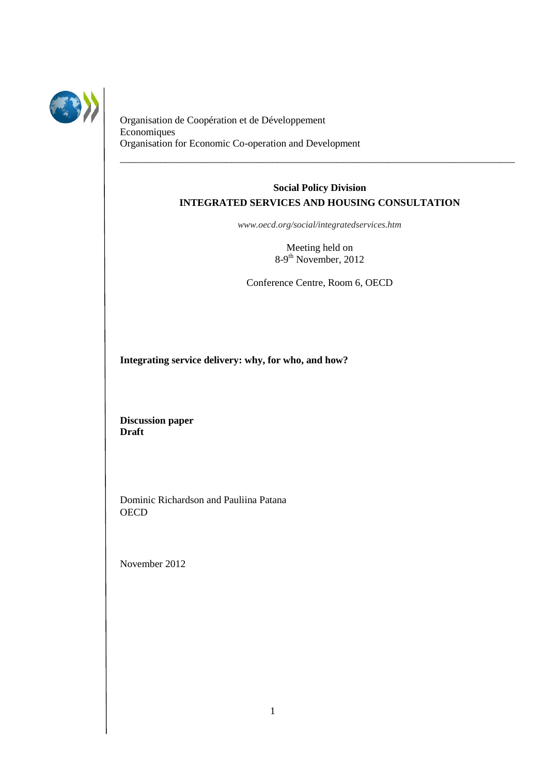

Organisation de Coopération et de Développement Economiques Organisation for Economic Co-operation and Development

# **Social Policy Division INTEGRATED SERVICES AND HOUSING CONSULTATION**

\_\_\_\_\_\_\_\_\_\_\_\_\_\_\_\_\_\_\_\_\_\_\_\_\_\_\_\_\_\_\_\_\_\_\_\_\_\_\_\_\_\_\_\_\_\_\_\_\_\_\_\_\_\_\_\_\_\_\_\_\_\_\_\_\_\_\_\_\_\_\_\_\_\_\_\_\_\_

*www.oecd.org/social/integratedservices.htm*

Meeting held on 8-9<sup>th</sup> November, 2012

Conference Centre, Room 6, OECD

**Integrating service delivery: why, for who, and how?**

**Discussion paper Draft** 

Dominic Richardson and Pauliina Patana **OECD** 

November 2012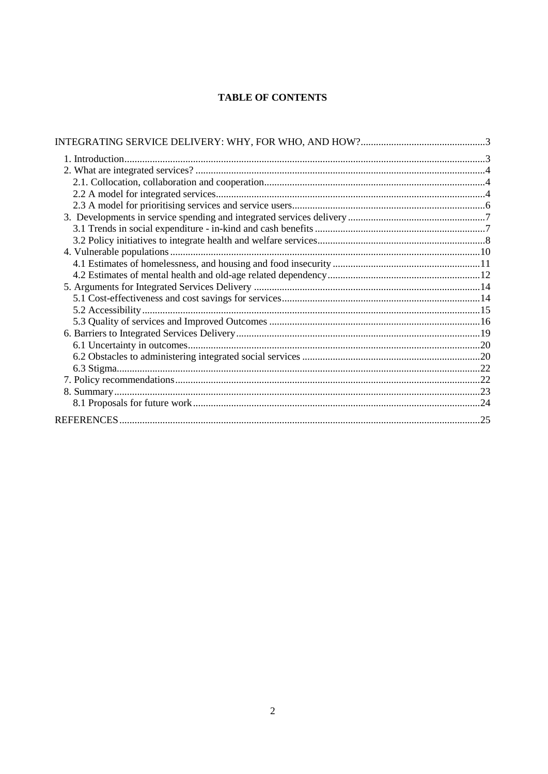# **TABLE OF CONTENTS**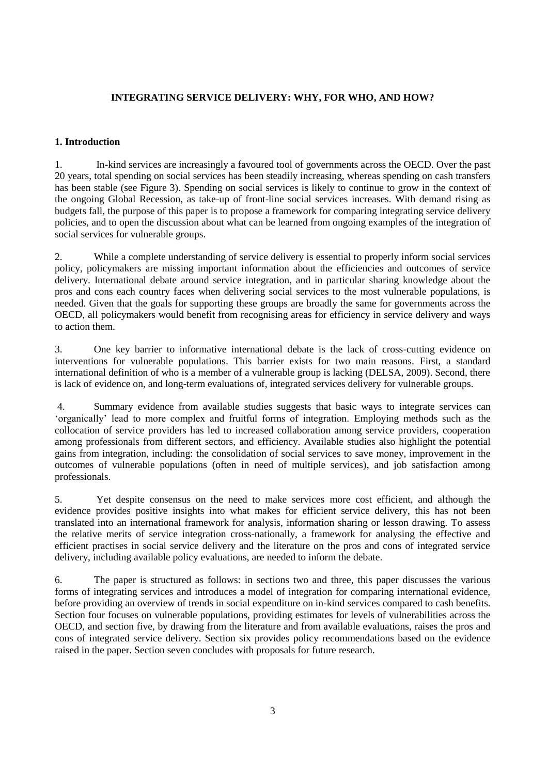# <span id="page-2-0"></span>**INTEGRATING SERVICE DELIVERY: WHY, FOR WHO, AND HOW?**

# <span id="page-2-1"></span>**1. Introduction**

1. In-kind services are increasingly a favoured tool of governments across the OECD. Over the past 20 years, total spending on social services has been steadily increasing, whereas spending on cash transfers has been stable (see Figure 3). Spending on social services is likely to continue to grow in the context of the ongoing Global Recession, as take-up of front-line social services increases. With demand rising as budgets fall, the purpose of this paper is to propose a framework for comparing integrating service delivery policies, and to open the discussion about what can be learned from ongoing examples of the integration of social services for vulnerable groups.

2. While a complete understanding of service delivery is essential to properly inform social services policy, policymakers are missing important information about the efficiencies and outcomes of service delivery. International debate around service integration, and in particular sharing knowledge about the pros and cons each country faces when delivering social services to the most vulnerable populations, is needed. Given that the goals for supporting these groups are broadly the same for governments across the OECD, all policymakers would benefit from recognising areas for efficiency in service delivery and ways to action them.

3. One key barrier to informative international debate is the lack of cross-cutting evidence on interventions for vulnerable populations. This barrier exists for two main reasons. First, a standard international definition of who is a member of a vulnerable group is lacking (DELSA, 2009). Second, there is lack of evidence on, and long-term evaluations of, integrated services delivery for vulnerable groups.

4. Summary evidence from available studies suggests that basic ways to integrate services can "organically" lead to more complex and fruitful forms of integration. Employing methods such as the collocation of service providers has led to increased collaboration among service providers, cooperation among professionals from different sectors, and efficiency. Available studies also highlight the potential gains from integration, including: the consolidation of social services to save money, improvement in the outcomes of vulnerable populations (often in need of multiple services), and job satisfaction among professionals.

5. Yet despite consensus on the need to make services more cost efficient, and although the evidence provides positive insights into what makes for efficient service delivery, this has not been translated into an international framework for analysis, information sharing or lesson drawing. To assess the relative merits of service integration cross-nationally, a framework for analysing the effective and efficient practises in social service delivery and the literature on the pros and cons of integrated service delivery, including available policy evaluations, are needed to inform the debate.

6. The paper is structured as follows: in sections two and three, this paper discusses the various forms of integrating services and introduces a model of integration for comparing international evidence, before providing an overview of trends in social expenditure on in-kind services compared to cash benefits. Section four focuses on vulnerable populations, providing estimates for levels of vulnerabilities across the OECD, and section five, by drawing from the literature and from available evaluations, raises the pros and cons of integrated service delivery. Section six provides policy recommendations based on the evidence raised in the paper. Section seven concludes with proposals for future research.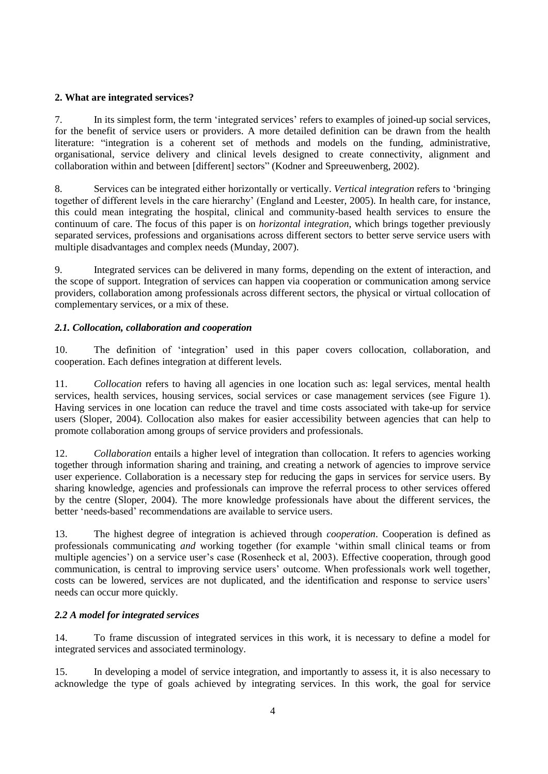# <span id="page-3-0"></span>**2. What are integrated services?**

7. In its simplest form, the term "integrated services" refers to examples of joined-up social services, for the benefit of service users or providers. A more detailed definition can be drawn from the health literature: "integration is a coherent set of methods and models on the funding, administrative, organisational, service delivery and clinical levels designed to create connectivity, alignment and collaboration within and between [different] sectors" (Kodner and Spreeuwenberg, 2002).

8. Services can be integrated either horizontally or vertically. *Vertical integration* refers to "bringing together of different levels in the care hierarchy" (England and Leester, 2005). In health care, for instance, this could mean integrating the hospital, clinical and community-based health services to ensure the continuum of care. The focus of this paper is on *horizontal integration*, which brings together previously separated services, professions and organisations across different sectors to better serve service users with multiple disadvantages and complex needs (Munday, 2007).

9. Integrated services can be delivered in many forms, depending on the extent of interaction, and the scope of support. Integration of services can happen via cooperation or communication among service providers, collaboration among professionals across different sectors, the physical or virtual collocation of complementary services, or a mix of these.

# <span id="page-3-1"></span>*2.1. Collocation, collaboration and cooperation*

10. The definition of "integration" used in this paper covers collocation, collaboration, and cooperation. Each defines integration at different levels.

11. *Collocation* refers to having all agencies in one location such as: legal services, mental health services, health services, housing services, social services or case management services (see Figure 1). Having services in one location can reduce the travel and time costs associated with take-up for service users (Sloper, 2004). Collocation also makes for easier accessibility between agencies that can help to promote collaboration among groups of service providers and professionals.

12. *Collaboration* entails a higher level of integration than collocation. It refers to agencies working together through information sharing and training, and creating a network of agencies to improve service user experience. Collaboration is a necessary step for reducing the gaps in services for service users. By sharing knowledge, agencies and professionals can improve the referral process to other services offered by the centre (Sloper, 2004). The more knowledge professionals have about the different services, the better "needs-based" recommendations are available to service users.

13. The highest degree of integration is achieved through *cooperation*. Cooperation is defined as professionals communicating *and* working together (for example "within small clinical teams or from multiple agencies") on a service user"s case (Rosenheck et al, 2003). Effective cooperation, through good communication, is central to improving service users" outcome. When professionals work well together, costs can be lowered, services are not duplicated, and the identification and response to service users" needs can occur more quickly.

# <span id="page-3-2"></span>*2.2 A model for integrated services*

14. To frame discussion of integrated services in this work, it is necessary to define a model for integrated services and associated terminology.

15. In developing a model of service integration, and importantly to assess it, it is also necessary to acknowledge the type of goals achieved by integrating services. In this work, the goal for service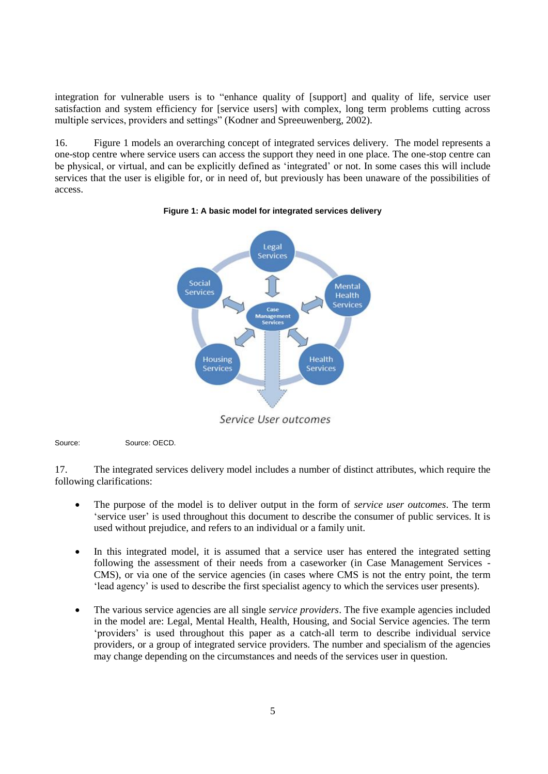integration for vulnerable users is to "enhance quality of [support] and quality of life, service user satisfaction and system efficiency for [service users] with complex, long term problems cutting across multiple services, providers and settings" (Kodner and Spreeuwenberg, 2002).

16. Figure 1 models an overarching concept of integrated services delivery. The model represents a one-stop centre where service users can access the support they need in one place. The one-stop centre can be physical, or virtual, and can be explicitly defined as "integrated" or not. In some cases this will include services that the user is eligible for, or in need of, but previously has been unaware of the possibilities of access.



#### **Figure 1: A basic model for integrated services delivery**

Service User outcomes

Source: Source: OECD.

17. The integrated services delivery model includes a number of distinct attributes, which require the following clarifications:

- The purpose of the model is to deliver output in the form of *service user outcomes*. The term "service user" is used throughout this document to describe the consumer of public services. It is used without prejudice, and refers to an individual or a family unit.
- In this integrated model, it is assumed that a service user has entered the integrated setting following the assessment of their needs from a caseworker (in Case Management Services - CMS), or via one of the service agencies (in cases where CMS is not the entry point, the term "lead agency" is used to describe the first specialist agency to which the services user presents).
- The various service agencies are all single *service providers*. The five example agencies included in the model are: Legal, Mental Health, Health, Housing, and Social Service agencies. The term 'providers' is used throughout this paper as a catch-all term to describe individual service providers, or a group of integrated service providers. The number and specialism of the agencies may change depending on the circumstances and needs of the services user in question.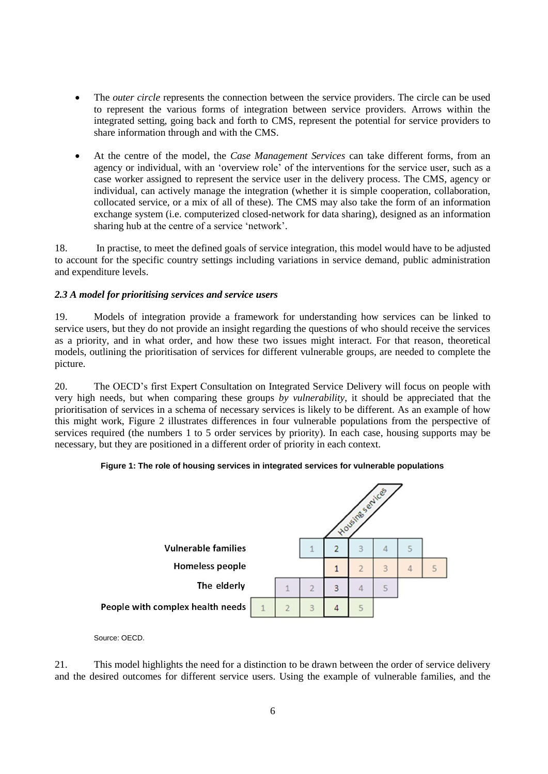- The *outer circle* represents the connection between the service providers. The circle can be used to represent the various forms of integration between service providers. Arrows within the integrated setting, going back and forth to CMS, represent the potential for service providers to share information through and with the CMS.
- At the centre of the model, the *Case Management Services* can take different forms, from an agency or individual, with an "overview role" of the interventions for the service user, such as a case worker assigned to represent the service user in the delivery process. The CMS, agency or individual, can actively manage the integration (whether it is simple cooperation, collaboration, collocated service, or a mix of all of these). The CMS may also take the form of an information exchange system (i.e. computerized closed-network for data sharing), designed as an information sharing hub at the centre of a service "network".

18. In practise, to meet the defined goals of service integration, this model would have to be adjusted to account for the specific country settings including variations in service demand, public administration and expenditure levels.

# <span id="page-5-0"></span>*2.3 A model for prioritising services and service users*

19. Models of integration provide a framework for understanding how services can be linked to service users, but they do not provide an insight regarding the questions of who should receive the services as a priority, and in what order, and how these two issues might interact. For that reason, theoretical models, outlining the prioritisation of services for different vulnerable groups, are needed to complete the picture.

20. The OECD"s first Expert Consultation on Integrated Service Delivery will focus on people with very high needs, but when comparing these groups *by vulnerability*, it should be appreciated that the prioritisation of services in a schema of necessary services is likely to be different. As an example of how this might work, Figure 2 illustrates differences in four vulnerable populations from the perspective of services required (the numbers 1 to 5 order services by priority). In each case, housing supports may be necessary, but they are positioned in a different order of priority in each context.



# **Figure 1: The role of housing services in integrated services for vulnerable populations**

# Source: OECD.

21. This model highlights the need for a distinction to be drawn between the order of service delivery and the desired outcomes for different service users. Using the example of vulnerable families, and the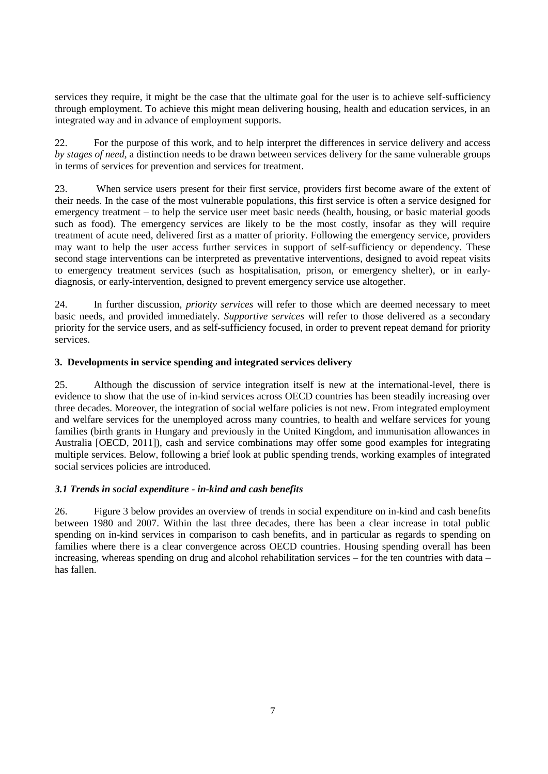services they require, it might be the case that the ultimate goal for the user is to achieve self-sufficiency through employment. To achieve this might mean delivering housing, health and education services, in an integrated way and in advance of employment supports.

22. For the purpose of this work, and to help interpret the differences in service delivery and access *by stages of need,* a distinction needs to be drawn between services delivery for the same vulnerable groups in terms of services for prevention and services for treatment.

23. When service users present for their first service, providers first become aware of the extent of their needs. In the case of the most vulnerable populations, this first service is often a service designed for emergency treatment – to help the service user meet basic needs (health, housing, or basic material goods such as food). The emergency services are likely to be the most costly, insofar as they will require treatment of acute need, delivered first as a matter of priority. Following the emergency service, providers may want to help the user access further services in support of self-sufficiency or dependency. These second stage interventions can be interpreted as preventative interventions, designed to avoid repeat visits to emergency treatment services (such as hospitalisation, prison, or emergency shelter), or in earlydiagnosis, or early-intervention, designed to prevent emergency service use altogether.

24. In further discussion, *priority services* will refer to those which are deemed necessary to meet basic needs, and provided immediately. *Supportive services* will refer to those delivered as a secondary priority for the service users, and as self-sufficiency focused, in order to prevent repeat demand for priority services.

# <span id="page-6-0"></span>**3. Developments in service spending and integrated services delivery**

25. Although the discussion of service integration itself is new at the international-level, there is evidence to show that the use of in-kind services across OECD countries has been steadily increasing over three decades. Moreover, the integration of social welfare policies is not new. From integrated employment and welfare services for the unemployed across many countries, to health and welfare services for young families (birth grants in Hungary and previously in the United Kingdom, and immunisation allowances in Australia [OECD, 2011]), cash and service combinations may offer some good examples for integrating multiple services. Below, following a brief look at public spending trends, working examples of integrated social services policies are introduced.

# <span id="page-6-1"></span>*3.1 Trends in social expenditure - in-kind and cash benefits*

26. Figure 3 below provides an overview of trends in social expenditure on in-kind and cash benefits between 1980 and 2007. Within the last three decades, there has been a clear increase in total public spending on in-kind services in comparison to cash benefits, and in particular as regards to spending on families where there is a clear convergence across OECD countries. Housing spending overall has been increasing, whereas spending on drug and alcohol rehabilitation services – for the ten countries with data – has fallen.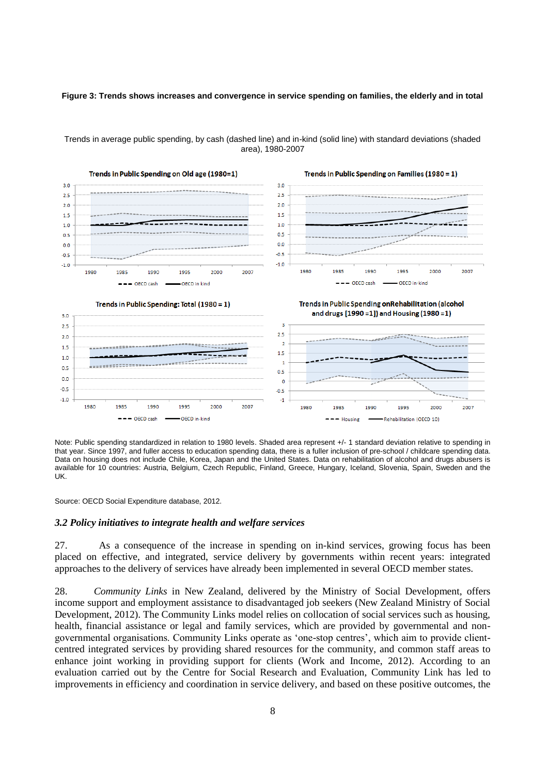### **Figure 3: Trends shows increases and convergence in service spending on families, the elderly and in total**



#### Trends in average public spending, by cash (dashed line) and in-kind (solid line) with standard deviations (shaded area), 1980-2007

Note: Public spending standardized in relation to 1980 levels. Shaded area represent +/- 1 standard deviation relative to spending in that year. Since 1997, and fuller access to education spending data, there is a fuller inclusion of pre-school / childcare spending data. Data on housing does not include Chile, Korea, Japan and the United States. Data on rehabilitation of alcohol and drugs abusers is available for 10 countries: Austria, Belgium, Czech Republic, Finland, Greece, Hungary, Iceland, Slovenia, Spain, Sweden and the UK.

Source: OECD Social Expenditure database, 2012.

### <span id="page-7-0"></span>*3.2 Policy initiatives to integrate health and welfare services*

27. As a consequence of the increase in spending on in-kind services, growing focus has been placed on effective, and integrated, service delivery by governments within recent years: integrated approaches to the delivery of services have already been implemented in several OECD member states.

28. *Community Links* in New Zealand, delivered by the Ministry of Social Development, offers income support and employment assistance to disadvantaged job seekers (New Zealand Ministry of Social Development, 2012). The Community Links model relies on collocation of social services such as housing, health, financial assistance or legal and family services, which are provided by governmental and nongovernmental organisations. Community Links operate as "one-stop centres", which aim to provide clientcentred integrated services by providing shared resources for the community, and common staff areas to enhance joint working in providing support for clients (Work and Income, 2012). According to an evaluation carried out by the Centre for Social Research and Evaluation, Community Link has led to improvements in efficiency and coordination in service delivery, and based on these positive outcomes, the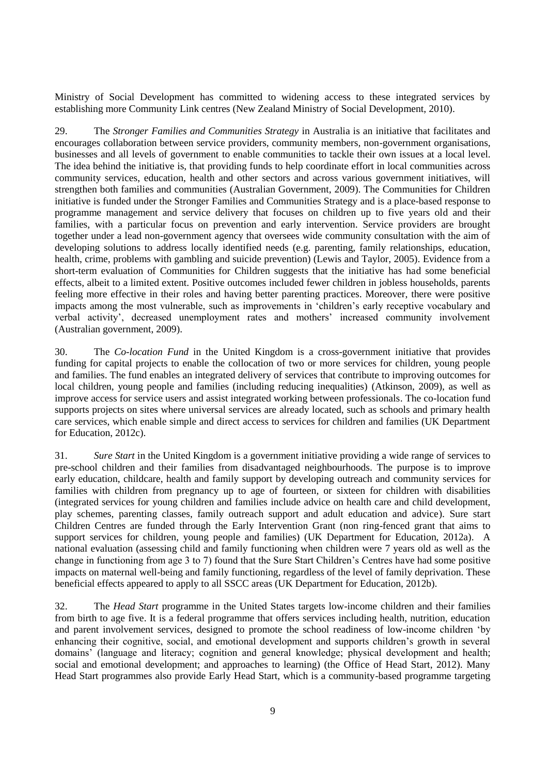Ministry of Social Development has committed to widening access to these integrated services by establishing more Community Link centres (New Zealand Ministry of Social Development, 2010).

29. The *Stronger Families and Communities Strategy* in Australia is an initiative that facilitates and encourages collaboration between service providers, community members, non-government organisations, businesses and all levels of government to enable communities to tackle their own issues at a local level. The idea behind the initiative is, that providing funds to help coordinate effort in local communities across community services, education, health and other sectors and across various government initiatives, will strengthen both families and communities (Australian Government, 2009). The Communities for Children initiative is funded under the Stronger Families and Communities Strategy and is a place-based response to programme management and service delivery that focuses on children up to five years old and their families, with a particular focus on prevention and early intervention. Service providers are brought together under a lead non-government agency that oversees wide community consultation with the aim of developing solutions to address locally identified needs (e.g. parenting, family relationships, education, health, crime, problems with gambling and suicide prevention) (Lewis and Taylor, 2005). Evidence from a short-term evaluation of Communities for Children suggests that the initiative has had some beneficial effects, albeit to a limited extent. Positive outcomes included fewer children in jobless households, parents feeling more effective in their roles and having better parenting practices. Moreover, there were positive impacts among the most vulnerable, such as improvements in "children"s early receptive vocabulary and verbal activity", decreased unemployment rates and mothers" increased community involvement (Australian government, 2009).

30. The *Co-location Fund* in the United Kingdom is a cross-government initiative that provides funding for capital projects to enable the collocation of two or more services for children, young people and families. The fund enables an integrated delivery of services that contribute to improving outcomes for local children, young people and families (including reducing inequalities) (Atkinson, 2009), as well as improve access for service users and assist integrated working between professionals. The co-location fund supports projects on sites where universal services are already located, such as schools and primary health care services, which enable simple and direct access to services for children and families (UK Department for Education, 2012c).

31. *Sure Start* in the United Kingdom is a government initiative providing a wide range of services to pre-school children and their families from disadvantaged neighbourhoods. The purpose is to improve early education, childcare, health and family support by developing outreach and community services for families with children from pregnancy up to age of fourteen, or sixteen for children with disabilities (integrated services for young children and families include advice on health care and child development, play schemes, parenting classes, family outreach support and adult education and advice). Sure start Children Centres are funded through the Early Intervention Grant (non ring-fenced grant that aims to support services for children, young people and families) (UK Department for Education, 2012a). A national evaluation (assessing child and family functioning when children were 7 years old as well as the change in functioning from age 3 to 7) found that the Sure Start Children"s Centres have had some positive impacts on maternal well-being and family functioning, regardless of the level of family deprivation. These beneficial effects appeared to apply to all SSCC areas (UK Department for Education, 2012b).

32. The *Head Start* programme in the United States targets low-income children and their families from birth to age five. It is a federal programme that offers services including health, nutrition, education and parent involvement services, designed to promote the school readiness of low-income children "by enhancing their cognitive, social, and emotional development and supports children"s growth in several domains" (language and literacy; cognition and general knowledge; physical development and health; social and emotional development; and approaches to learning) (the Office of Head Start, 2012). Many Head Start programmes also provide Early Head Start, which is a community-based programme targeting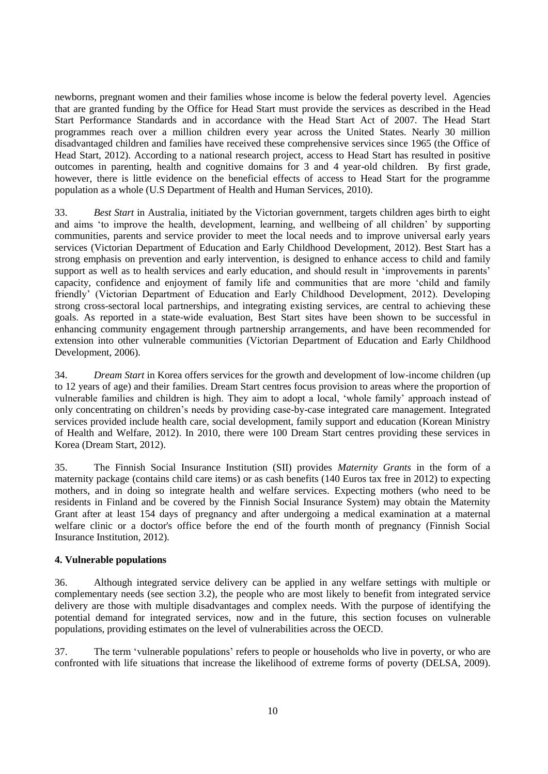newborns, pregnant women and their families whose income is below the federal poverty level. Agencies that are granted funding by the Office for Head Start must provide the services as described in the Head Start Performance Standards and in accordance with the Head Start Act of 2007. The Head Start programmes reach over a million children every year across the United States. Nearly 30 million disadvantaged children and families have received these comprehensive services since 1965 (the Office of Head Start, 2012). According to a national research project, access to Head Start has resulted in positive outcomes in parenting, health and cognitive domains for 3 and 4 year-old children. By first grade, however, there is little evidence on the beneficial effects of access to Head Start for the programme population as a whole (U.S Department of Health and Human Services, 2010).

33. *Best Start* in Australia, initiated by the Victorian government, targets children ages birth to eight and aims "to improve the health, development, learning, and wellbeing of all children" by supporting communities, parents and service provider to meet the local needs and to improve universal early years services (Victorian Department of Education and Early Childhood Development, 2012). Best Start has a strong emphasis on prevention and early intervention, is designed to enhance access to child and family support as well as to health services and early education, and should result in 'improvements in parents' capacity, confidence and enjoyment of family life and communities that are more "child and family friendly" (Victorian Department of Education and Early Childhood Development, 2012). Developing strong cross-sectoral local partnerships, and integrating existing services, are central to achieving these goals. As reported in a state-wide evaluation, Best Start sites have been shown to be successful in enhancing community engagement through partnership arrangements, and have been recommended for extension into other vulnerable communities (Victorian Department of Education and Early Childhood Development, 2006).

34. *Dream Start* in Korea offers services for the growth and development of low-income children (up to 12 years of age) and their families. Dream Start centres focus provision to areas where the proportion of vulnerable families and children is high. They aim to adopt a local, "whole family" approach instead of only concentrating on children"s needs by providing case-by-case integrated care management. Integrated services provided include health care, social development, family support and education (Korean Ministry of Health and Welfare, 2012). In 2010, there were 100 Dream Start centres providing these services in Korea (Dream Start, 2012).

35. The Finnish Social Insurance Institution (SII) provides *Maternity Grants* in the form of a maternity package (contains child care items) or as cash benefits (140 Euros tax free in 2012) to expecting mothers, and in doing so integrate health and welfare services. Expecting mothers (who need to be residents in Finland and be covered by the Finnish Social Insurance System) may obtain the Maternity Grant after at least 154 days of pregnancy and after undergoing a medical examination at a maternal welfare clinic or a doctor's office before the end of the fourth month of pregnancy (Finnish Social Insurance Institution, 2012).

### <span id="page-9-0"></span>**4. Vulnerable populations**

36. Although integrated service delivery can be applied in any welfare settings with multiple or complementary needs (see section 3.2), the people who are most likely to benefit from integrated service delivery are those with multiple disadvantages and complex needs. With the purpose of identifying the potential demand for integrated services, now and in the future, this section focuses on vulnerable populations, providing estimates on the level of vulnerabilities across the OECD.

37. The term "vulnerable populations" refers to people or households who live in poverty, or who are confronted with life situations that increase the likelihood of extreme forms of poverty (DELSA, 2009).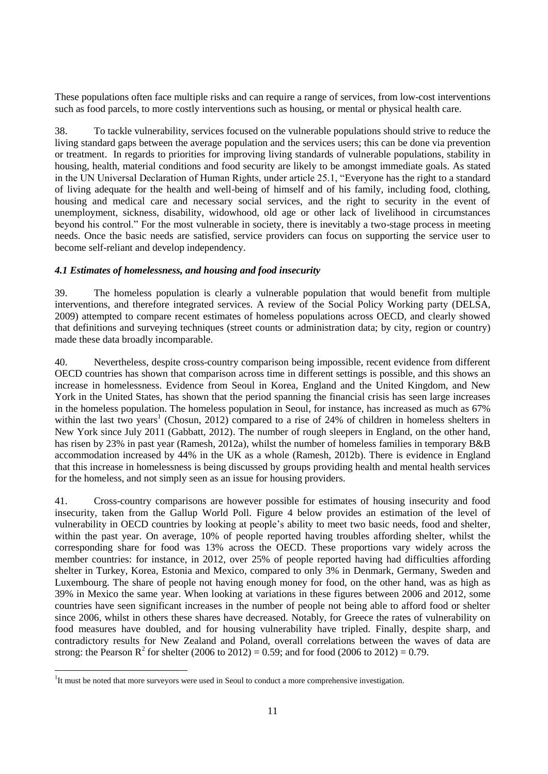These populations often face multiple risks and can require a range of services, from low-cost interventions such as food parcels, to more costly interventions such as housing, or mental or physical health care.

38. To tackle vulnerability, services focused on the vulnerable populations should strive to reduce the living standard gaps between the average population and the services users; this can be done via prevention or treatment. In regards to priorities for improving living standards of vulnerable populations, stability in housing, health, material conditions and food security are likely to be amongst immediate goals. As stated in the UN Universal Declaration of Human Rights, under article 25.1, "Everyone has the right to a standard of living adequate for the health and well-being of himself and of his family, including food, clothing, housing and medical care and necessary social services, and the right to security in the event of unemployment, sickness, disability, widowhood, old age or other lack of livelihood in circumstances beyond his control." For the most vulnerable in society, there is inevitably a two-stage process in meeting needs. Once the basic needs are satisfied, service providers can focus on supporting the service user to become self-reliant and develop independency.

### <span id="page-10-0"></span>*4.1 Estimates of homelessness, and housing and food insecurity*

39. The homeless population is clearly a vulnerable population that would benefit from multiple interventions, and therefore integrated services. A review of the Social Policy Working party (DELSA, 2009) attempted to compare recent estimates of homeless populations across OECD, and clearly showed that definitions and surveying techniques (street counts or administration data; by city, region or country) made these data broadly incomparable.

40. Nevertheless, despite cross-country comparison being impossible, recent evidence from different OECD countries has shown that comparison across time in different settings is possible, and this shows an increase in homelessness. Evidence from Seoul in Korea, England and the United Kingdom, and New York in the United States, has shown that the period spanning the financial crisis has seen large increases in the homeless population. The homeless population in Seoul, for instance, has increased as much as 67% within the last two years<sup>1</sup> (Chosun, 2012) compared to a rise of 24% of children in homeless shelters in New York since July 2011 (Gabbatt, 2012). The number of rough sleepers in England, on the other hand, has risen by 23% in past year (Ramesh, 2012a), whilst the number of homeless families in temporary B&B accommodation increased by 44% in the UK as a whole (Ramesh, 2012b). There is evidence in England that this increase in homelessness is being discussed by groups providing health and mental health services for the homeless, and not simply seen as an issue for housing providers.

41. Cross-country comparisons are however possible for estimates of housing insecurity and food insecurity, taken from the Gallup World Poll. Figure 4 below provides an estimation of the level of vulnerability in OECD countries by looking at people"s ability to meet two basic needs, food and shelter, within the past year. On average, 10% of people reported having troubles affording shelter, whilst the corresponding share for food was 13% across the OECD. These proportions vary widely across the member countries: for instance, in 2012, over 25% of people reported having had difficulties affording shelter in Turkey, Korea, Estonia and Mexico, compared to only 3% in Denmark, Germany, Sweden and Luxembourg. The share of people not having enough money for food, on the other hand, was as high as 39% in Mexico the same year. When looking at variations in these figures between 2006 and 2012, some countries have seen significant increases in the number of people not being able to afford food or shelter since 2006, whilst in others these shares have decreased. Notably, for Greece the rates of vulnerability on food measures have doubled, and for housing vulnerability have tripled. Finally, despite sharp, and contradictory results for New Zealand and Poland, overall correlations between the waves of data are strong: the Pearson R<sup>2</sup> for shelter (2006 to 2012) = 0.59; and for food (2006 to 2012) = 0.79.

 $\overline{a}$ 

<sup>&</sup>lt;sup>1</sup>It must be noted that more surveyors were used in Seoul to conduct a more comprehensive investigation.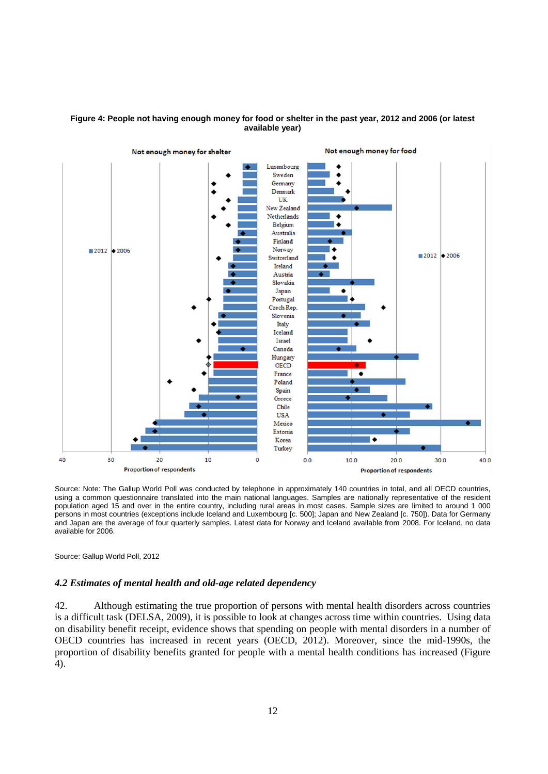



Source: Note: The Gallup World Poll was conducted by telephone in approximately 140 countries in total, and all OECD countries, using a common questionnaire translated into the main national languages. Samples are nationally representative of the resident population aged 15 and over in the entire country, including rural areas in most cases. Sample sizes are limited to around 1 000 persons in most countries (exceptions include Iceland and Luxembourg [c. 500]; Japan and New Zealand [c. 750]). Data for Germany and Japan are the average of four quarterly samples. Latest data for Norway and Iceland available from 2008. For Iceland, no data available for 2006.

Source: Gallup World Poll, 2012

### <span id="page-11-0"></span>*4.2 Estimates of mental health and old-age related dependency*

42. Although estimating the true proportion of persons with mental health disorders across countries is a difficult task (DELSA, 2009), it is possible to look at changes across time within countries. Using data on disability benefit receipt, evidence shows that spending on people with mental disorders in a number of OECD countries has increased in recent years (OECD, 2012). Moreover, since the mid-1990s, the proportion of disability benefits granted for people with a mental health conditions has increased (Figure 4).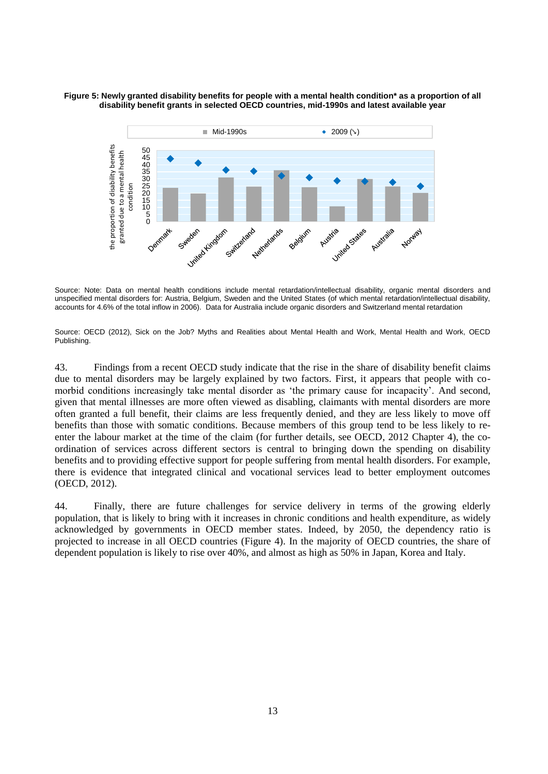#### **Figure 5: Newly granted disability benefits for people with a mental health condition\* as a proportion of all disability benefit grants in selected OECD countries, mid-1990s and latest available year**



Source: Note: Data on mental health conditions include mental retardation/intellectual disability, organic mental disorders and unspecified mental disorders for: Austria, Belgium, Sweden and the United States (of which mental retardation/intellectual disability, accounts for 4.6% of the total inflow in 2006). Data for Australia include organic disorders and Switzerland mental retardation

Source: OECD (2012), Sick on the Job? Myths and Realities about Mental Health and Work, Mental Health and Work, OECD Publishing.

43. Findings from a recent OECD study indicate that the rise in the share of disability benefit claims due to mental disorders may be largely explained by two factors. First, it appears that people with comorbid conditions increasingly take mental disorder as "the primary cause for incapacity". And second, given that mental illnesses are more often viewed as disabling, claimants with mental disorders are more often granted a full benefit, their claims are less frequently denied, and they are less likely to move off benefits than those with somatic conditions. Because members of this group tend to be less likely to reenter the labour market at the time of the claim (for further details, see OECD, 2012 Chapter 4), the coordination of services across different sectors is central to bringing down the spending on disability benefits and to providing effective support for people suffering from mental health disorders. For example, there is evidence that integrated clinical and vocational services lead to better employment outcomes (OECD, 2012).

44. Finally, there are future challenges for service delivery in terms of the growing elderly population, that is likely to bring with it increases in chronic conditions and health expenditure, as widely acknowledged by governments in OECD member states. Indeed, by 2050, the dependency ratio is projected to increase in all OECD countries (Figure 4). In the majority of OECD countries, the share of dependent population is likely to rise over 40%, and almost as high as 50% in Japan, Korea and Italy.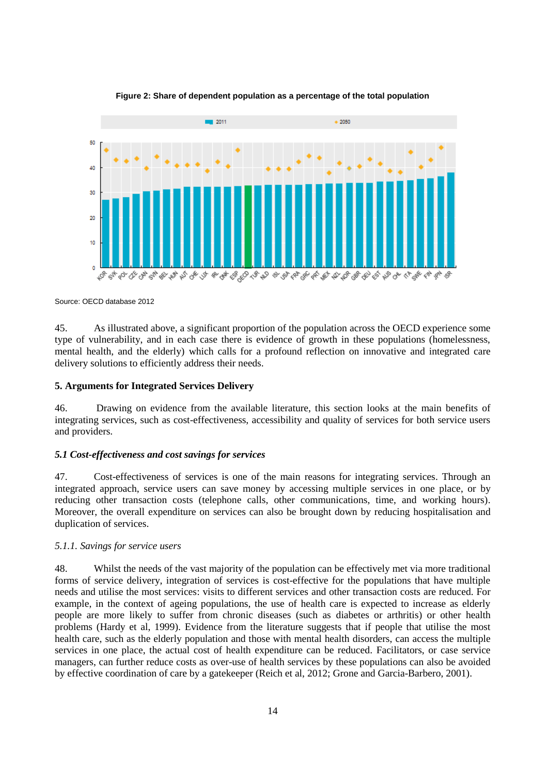

**Figure 2: Share of dependent population as a percentage of the total population**

Source: OECD database 2012

45. As illustrated above, a significant proportion of the population across the OECD experience some type of vulnerability, and in each case there is evidence of growth in these populations (homelessness, mental health, and the elderly) which calls for a profound reflection on innovative and integrated care delivery solutions to efficiently address their needs.

### <span id="page-13-0"></span>**5. Arguments for Integrated Services Delivery**

46. Drawing on evidence from the available literature, this section looks at the main benefits of integrating services, such as cost-effectiveness, accessibility and quality of services for both service users and providers.

### <span id="page-13-1"></span>*5.1 Cost-effectiveness and cost savings for services*

47. Cost-effectiveness of services is one of the main reasons for integrating services. Through an integrated approach, service users can save money by accessing multiple services in one place, or by reducing other transaction costs (telephone calls, other communications, time, and working hours). Moreover, the overall expenditure on services can also be brought down by reducing hospitalisation and duplication of services.

### *5.1.1. Savings for service users*

48. Whilst the needs of the vast majority of the population can be effectively met via more traditional forms of service delivery, integration of services is cost-effective for the populations that have multiple needs and utilise the most services: visits to different services and other transaction costs are reduced. For example, in the context of ageing populations, the use of health care is expected to increase as elderly people are more likely to suffer from chronic diseases (such as diabetes or arthritis) or other health problems (Hardy et al, 1999). Evidence from the literature suggests that if people that utilise the most health care, such as the elderly population and those with mental health disorders, can access the multiple services in one place, the actual cost of health expenditure can be reduced. Facilitators, or case service managers, can further reduce costs as over-use of health services by these populations can also be avoided by effective coordination of care by a gatekeeper (Reich et al, 2012; Grone and Garcia-Barbero, 2001).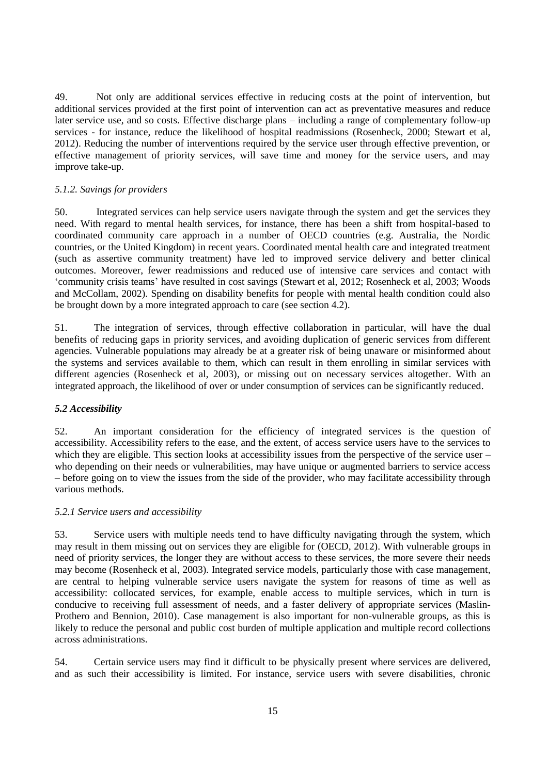49. Not only are additional services effective in reducing costs at the point of intervention, but additional services provided at the first point of intervention can act as preventative measures and reduce later service use, and so costs. Effective discharge plans – including a range of complementary follow-up services - for instance, reduce the likelihood of hospital readmissions (Rosenheck, 2000; Stewart et al, 2012). Reducing the number of interventions required by the service user through effective prevention, or effective management of priority services, will save time and money for the service users, and may improve take-up.

### *5.1.2. Savings for providers*

50. Integrated services can help service users navigate through the system and get the services they need. With regard to mental health services, for instance, there has been a shift from hospital-based to coordinated community care approach in a number of OECD countries (e.g. Australia, the Nordic countries, or the United Kingdom) in recent years. Coordinated mental health care and integrated treatment (such as assertive community treatment) have led to improved service delivery and better clinical outcomes. Moreover, fewer readmissions and reduced use of intensive care services and contact with "community crisis teams" have resulted in cost savings (Stewart et al, 2012; Rosenheck et al, 2003; Woods and McCollam, 2002). Spending on disability benefits for people with mental health condition could also be brought down by a more integrated approach to care (see section 4.2).

51. The integration of services, through effective collaboration in particular, will have the dual benefits of reducing gaps in priority services, and avoiding duplication of generic services from different agencies. Vulnerable populations may already be at a greater risk of being unaware or misinformed about the systems and services available to them, which can result in them enrolling in similar services with different agencies (Rosenheck et al, 2003), or missing out on necessary services altogether. With an integrated approach, the likelihood of over or under consumption of services can be significantly reduced.

# <span id="page-14-0"></span>*5.2 Accessibility*

52. An important consideration for the efficiency of integrated services is the question of accessibility. Accessibility refers to the ease, and the extent, of access service users have to the services to which they are eligible. This section looks at accessibility issues from the perspective of the service user – who depending on their needs or vulnerabilities, may have unique or augmented barriers to service access – before going on to view the issues from the side of the provider, who may facilitate accessibility through various methods.

### *5.2.1 Service users and accessibility*

53. Service users with multiple needs tend to have difficulty navigating through the system, which may result in them missing out on services they are eligible for (OECD, 2012). With vulnerable groups in need of priority services, the longer they are without access to these services, the more severe their needs may become (Rosenheck et al, 2003). Integrated service models, particularly those with case management, are central to helping vulnerable service users navigate the system for reasons of time as well as accessibility: collocated services, for example, enable access to multiple services, which in turn is conducive to receiving full assessment of needs, and a faster delivery of appropriate services (Maslin-Prothero and Bennion, 2010). Case management is also important for non-vulnerable groups, as this is likely to reduce the personal and public cost burden of multiple application and multiple record collections across administrations.

54. Certain service users may find it difficult to be physically present where services are delivered, and as such their accessibility is limited. For instance, service users with severe disabilities, chronic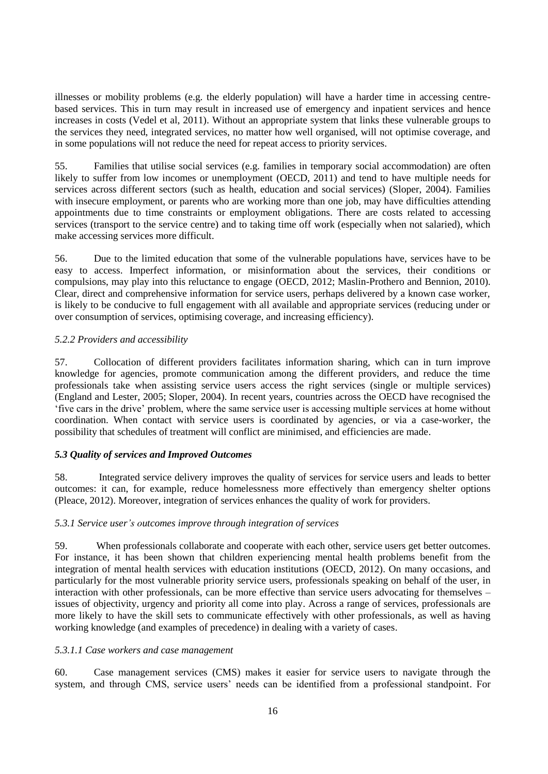illnesses or mobility problems (e.g. the elderly population) will have a harder time in accessing centrebased services. This in turn may result in increased use of emergency and inpatient services and hence increases in costs (Vedel et al, 2011). Without an appropriate system that links these vulnerable groups to the services they need, integrated services, no matter how well organised, will not optimise coverage, and in some populations will not reduce the need for repeat access to priority services.

55. Families that utilise social services (e.g. families in temporary social accommodation) are often likely to suffer from low incomes or unemployment (OECD, 2011) and tend to have multiple needs for services across different sectors (such as health, education and social services) (Sloper, 2004). Families with insecure employment, or parents who are working more than one job, may have difficulties attending appointments due to time constraints or employment obligations. There are costs related to accessing services (transport to the service centre) and to taking time off work (especially when not salaried), which make accessing services more difficult.

56. Due to the limited education that some of the vulnerable populations have, services have to be easy to access. Imperfect information, or misinformation about the services, their conditions or compulsions, may play into this reluctance to engage (OECD, 2012; Maslin-Prothero and Bennion, 2010). Clear, direct and comprehensive information for service users, perhaps delivered by a known case worker, is likely to be conducive to full engagement with all available and appropriate services (reducing under or over consumption of services, optimising coverage, and increasing efficiency).

# *5.2.2 Providers and accessibility*

57. Collocation of different providers facilitates information sharing, which can in turn improve knowledge for agencies, promote communication among the different providers, and reduce the time professionals take when assisting service users access the right services (single or multiple services) (England and Lester, 2005; Sloper, 2004). In recent years, countries across the OECD have recognised the "five cars in the drive" problem, where the same service user is accessing multiple services at home without coordination. When contact with service users is coordinated by agencies, or via a case-worker, the possibility that schedules of treatment will conflict are minimised, and efficiencies are made.

# <span id="page-15-0"></span>*5.3 Quality of services and Improved Outcomes*

58. Integrated service delivery improves the quality of services for service users and leads to better outcomes: it can, for example, reduce homelessness more effectively than emergency shelter options (Pleace, 2012). Moreover, integration of services enhances the quality of work for providers.

# *5.3.1 Service user's outcomes improve through integration of services*

59. When professionals collaborate and cooperate with each other, service users get better outcomes. For instance, it has been shown that children experiencing mental health problems benefit from the integration of mental health services with education institutions (OECD, 2012). On many occasions, and particularly for the most vulnerable priority service users, professionals speaking on behalf of the user, in interaction with other professionals, can be more effective than service users advocating for themselves – issues of objectivity, urgency and priority all come into play. Across a range of services, professionals are more likely to have the skill sets to communicate effectively with other professionals, as well as having working knowledge (and examples of precedence) in dealing with a variety of cases.

# *5.3.1.1 Case workers and case management*

60. Case management services (CMS) makes it easier for service users to navigate through the system, and through CMS, service users" needs can be identified from a professional standpoint. For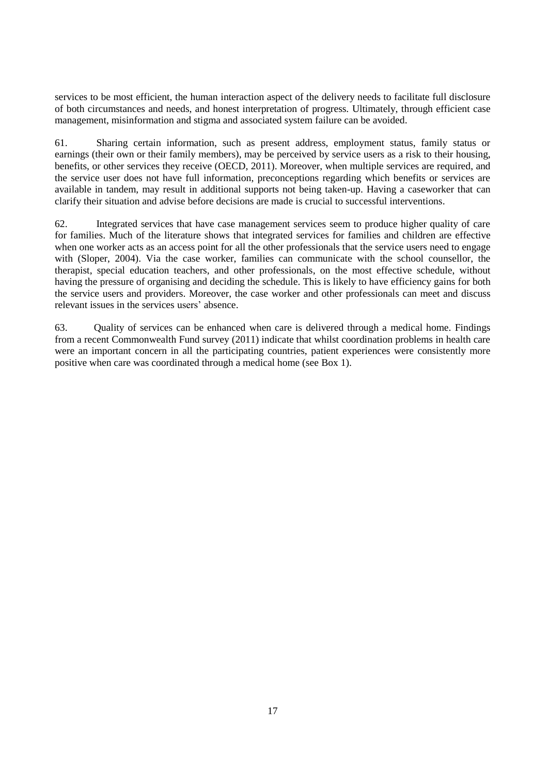services to be most efficient, the human interaction aspect of the delivery needs to facilitate full disclosure of both circumstances and needs, and honest interpretation of progress. Ultimately, through efficient case management, misinformation and stigma and associated system failure can be avoided.

61. Sharing certain information, such as present address, employment status, family status or earnings (their own or their family members), may be perceived by service users as a risk to their housing, benefits, or other services they receive (OECD, 2011). Moreover, when multiple services are required, and the service user does not have full information, preconceptions regarding which benefits or services are available in tandem, may result in additional supports not being taken-up. Having a caseworker that can clarify their situation and advise before decisions are made is crucial to successful interventions.

62. Integrated services that have case management services seem to produce higher quality of care for families. Much of the literature shows that integrated services for families and children are effective when one worker acts as an access point for all the other professionals that the service users need to engage with (Sloper, 2004). Via the case worker, families can communicate with the school counsellor, the therapist, special education teachers, and other professionals, on the most effective schedule, without having the pressure of organising and deciding the schedule. This is likely to have efficiency gains for both the service users and providers. Moreover, the case worker and other professionals can meet and discuss relevant issues in the services users" absence.

63. Quality of services can be enhanced when care is delivered through a medical home. Findings from a recent Commonwealth Fund survey (2011) indicate that whilst coordination problems in health care were an important concern in all the participating countries, patient experiences were consistently more positive when care was coordinated through a medical home (see Box 1).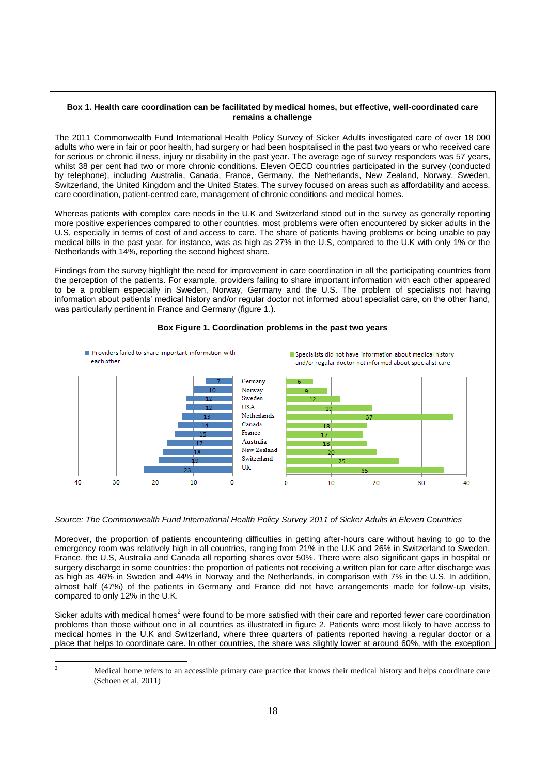#### **Box 1. Health care coordination can be facilitated by medical homes, but effective, well-coordinated care remains a challenge**

The 2011 Commonwealth Fund International Health Policy Survey of Sicker Adults investigated care of over 18 000 adults who were in fair or poor health, had surgery or had been hospitalised in the past two years or who received care for serious or chronic illness, injury or disability in the past year. The average age of survey responders was 57 years, whilst 38 per cent had two or more chronic conditions. Eleven OECD countries participated in the survey (conducted by telephone), including Australia, Canada, France, Germany, the Netherlands, New Zealand, Norway, Sweden, Switzerland, the United Kingdom and the United States. The survey focused on areas such as affordability and access, care coordination, patient-centred care, management of chronic conditions and medical homes.

Whereas patients with complex care needs in the U.K and Switzerland stood out in the survey as generally reporting more positive experiences compared to other countries, most problems were often encountered by sicker adults in the U.S, especially in terms of cost of and access to care. The share of patients having problems or being unable to pay medical bills in the past year, for instance, was as high as 27% in the U.S, compared to the U.K with only 1% or the Netherlands with 14%, reporting the second highest share.

Findings from the survey highlight the need for improvement in care coordination in all the participating countries from the perception of the patients. For example, providers failing to share important information with each other appeared to be a problem especially in Sweden, Norway, Germany and the U.S. The problem of specialists not having information about patients' medical history and/or regular doctor not informed about specialist care, on the other hand, was particularly pertinent in France and Germany (figure 1.).



#### **Box Figure 1. Coordination problems in the past two years**

*Source: The Commonwealth Fund International Health Policy Survey 2011 of Sicker Adults in Eleven Countries*

Moreover, the proportion of patients encountering difficulties in getting after-hours care without having to go to the emergency room was relatively high in all countries, ranging from 21% in the U.K and 26% in Switzerland to Sweden, France, the U.S, Australia and Canada all reporting shares over 50%. There were also significant gaps in hospital or surgery discharge in some countries: the proportion of patients not receiving a written plan for care after discharge was as high as 46% in Sweden and 44% in Norway and the Netherlands, in comparison with 7% in the U.S. In addition, almost half (47%) of the patients in Germany and France did not have arrangements made for follow-up visits, compared to only 12% in the U.K.

Sicker adults with medical homes<sup>2</sup> were found to be more satisfied with their care and reported fewer care coordination problems than those without one in all countries as illustrated in figure 2. Patients were most likely to have access to medical homes in the U.K and Switzerland, where three quarters of patients reported having a regular doctor or a place that helps to coordinate care. In other countries, the share was slightly lower at around 60%, with the exception

 $\overline{c}$ 

<sup>2</sup> Medical home refers to an accessible primary care practice that knows their medical history and helps coordinate care (Schoen et al, 2011)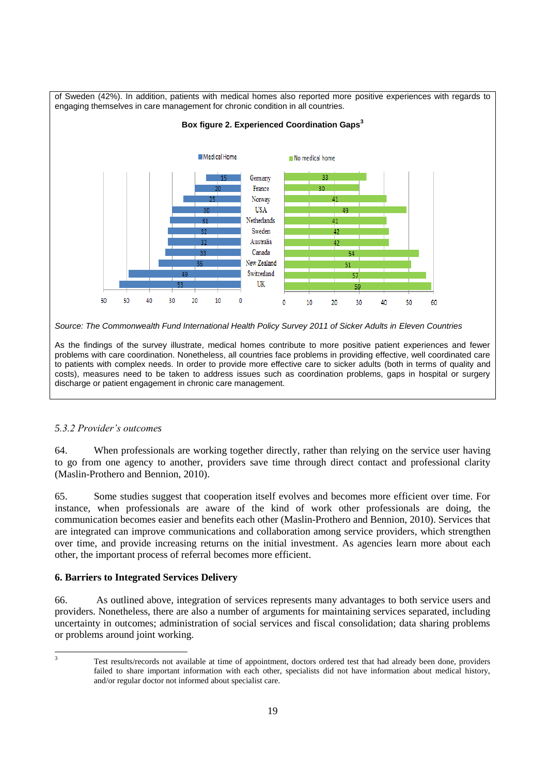

*Source: The Commonwealth Fund International Health Policy Survey 2011 of Sicker Adults in Eleven Countries*

As the findings of the survey illustrate, medical homes contribute to more positive patient experiences and fewer problems with care coordination. Nonetheless, all countries face problems in providing effective, well coordinated care to patients with complex needs. In order to provide more effective care to sicker adults (both in terms of quality and costs), measures need to be taken to address issues such as coordination problems, gaps in hospital or surgery discharge or patient engagement in chronic care management.

# *5.3.2 Provider's outcomes*

64. When professionals are working together directly, rather than relying on the service user having to go from one agency to another, providers save time through direct contact and professional clarity (Maslin-Prothero and Bennion, 2010).

65. Some studies suggest that cooperation itself evolves and becomes more efficient over time. For instance, when professionals are aware of the kind of work other professionals are doing, the communication becomes easier and benefits each other (Maslin-Prothero and Bennion, 2010). Services that are integrated can improve communications and collaboration among service providers, which strengthen over time, and provide increasing returns on the initial investment. As agencies learn more about each other, the important process of referral becomes more efficient.

# <span id="page-18-0"></span>**6. Barriers to Integrated Services Delivery**

66. As outlined above, integration of services represents many advantages to both service users and providers. Nonetheless, there are also a number of arguments for maintaining services separated, including uncertainty in outcomes; administration of social services and fiscal consolidation; data sharing problems or problems around joint working.

 $\overline{\mathbf{3}}$ 

Test results/records not available at time of appointment, doctors ordered test that had already been done, providers failed to share important information with each other, specialists did not have information about medical history, and/or regular doctor not informed about specialist care.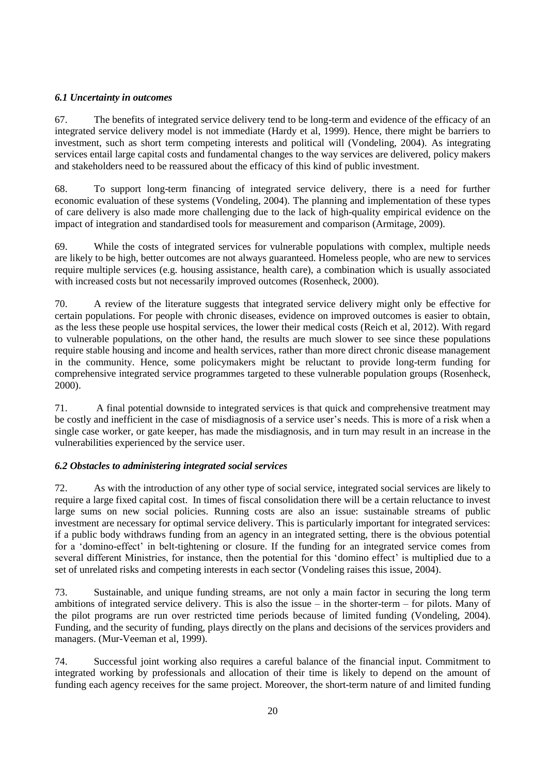# <span id="page-19-0"></span>*6.1 Uncertainty in outcomes*

67. The benefits of integrated service delivery tend to be long-term and evidence of the efficacy of an integrated service delivery model is not immediate (Hardy et al, 1999). Hence, there might be barriers to investment, such as short term competing interests and political will (Vondeling, 2004). As integrating services entail large capital costs and fundamental changes to the way services are delivered, policy makers and stakeholders need to be reassured about the efficacy of this kind of public investment.

68. To support long-term financing of integrated service delivery, there is a need for further economic evaluation of these systems (Vondeling, 2004). The planning and implementation of these types of care delivery is also made more challenging due to the lack of high-quality empirical evidence on the impact of integration and standardised tools for measurement and comparison (Armitage, 2009).

69. While the costs of integrated services for vulnerable populations with complex, multiple needs are likely to be high, better outcomes are not always guaranteed. Homeless people, who are new to services require multiple services (e.g. housing assistance, health care), a combination which is usually associated with increased costs but not necessarily improved outcomes (Rosenheck, 2000).

70. A review of the literature suggests that integrated service delivery might only be effective for certain populations. For people with chronic diseases, evidence on improved outcomes is easier to obtain, as the less these people use hospital services, the lower their medical costs (Reich et al, 2012). With regard to vulnerable populations, on the other hand, the results are much slower to see since these populations require stable housing and income and health services, rather than more direct chronic disease management in the community. Hence, some policymakers might be reluctant to provide long-term funding for comprehensive integrated service programmes targeted to these vulnerable population groups (Rosenheck, 2000).

71. A final potential downside to integrated services is that quick and comprehensive treatment may be costly and inefficient in the case of misdiagnosis of a service user"s needs. This is more of a risk when a single case worker, or gate keeper, has made the misdiagnosis, and in turn may result in an increase in the vulnerabilities experienced by the service user.

# <span id="page-19-1"></span>*6.2 Obstacles to administering integrated social services*

72. As with the introduction of any other type of social service, integrated social services are likely to require a large fixed capital cost. In times of fiscal consolidation there will be a certain reluctance to invest large sums on new social policies. Running costs are also an issue: sustainable streams of public investment are necessary for optimal service delivery. This is particularly important for integrated services: if a public body withdraws funding from an agency in an integrated setting, there is the obvious potential for a "domino-effect" in belt-tightening or closure. If the funding for an integrated service comes from several different Ministries, for instance, then the potential for this 'domino effect' is multiplied due to a set of unrelated risks and competing interests in each sector (Vondeling raises this issue, 2004).

73. Sustainable, and unique funding streams, are not only a main factor in securing the long term ambitions of integrated service delivery. This is also the issue – in the shorter-term – for pilots. Many of the pilot programs are run over restricted time periods because of limited funding (Vondeling, 2004). Funding, and the security of funding, plays directly on the plans and decisions of the services providers and managers. (Mur-Veeman et al, 1999).

74. Successful joint working also requires a careful balance of the financial input. Commitment to integrated working by professionals and allocation of their time is likely to depend on the amount of funding each agency receives for the same project. Moreover, the short-term nature of and limited funding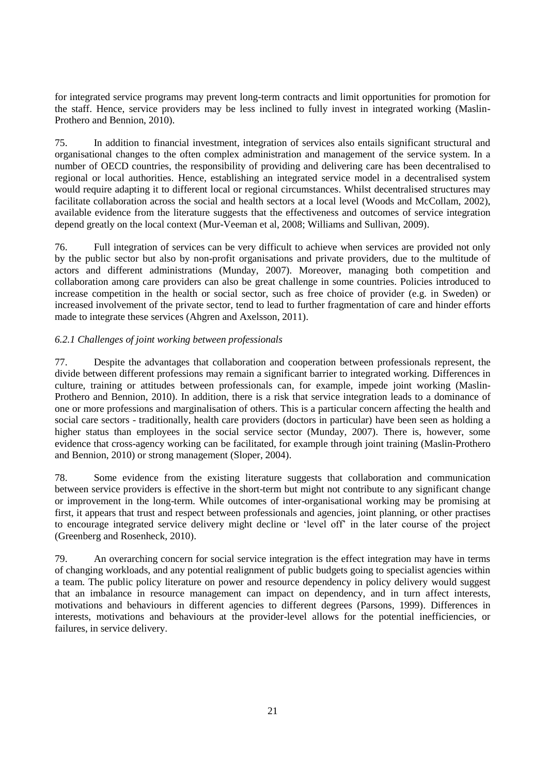for integrated service programs may prevent long-term contracts and limit opportunities for promotion for the staff. Hence, service providers may be less inclined to fully invest in integrated working (Maslin-Prothero and Bennion, 2010).

75. In addition to financial investment, integration of services also entails significant structural and organisational changes to the often complex administration and management of the service system. In a number of OECD countries, the responsibility of providing and delivering care has been decentralised to regional or local authorities. Hence, establishing an integrated service model in a decentralised system would require adapting it to different local or regional circumstances. Whilst decentralised structures may facilitate collaboration across the social and health sectors at a local level (Woods and McCollam, 2002), available evidence from the literature suggests that the effectiveness and outcomes of service integration depend greatly on the local context (Mur-Veeman et al, 2008; Williams and Sullivan, 2009).

76. Full integration of services can be very difficult to achieve when services are provided not only by the public sector but also by non-profit organisations and private providers, due to the multitude of actors and different administrations (Munday, 2007). Moreover, managing both competition and collaboration among care providers can also be great challenge in some countries. Policies introduced to increase competition in the health or social sector, such as free choice of provider (e.g. in Sweden) or increased involvement of the private sector, tend to lead to further fragmentation of care and hinder efforts made to integrate these services (Ahgren and Axelsson, 2011).

# *6.2.1 Challenges of joint working between professionals*

77. Despite the advantages that collaboration and cooperation between professionals represent, the divide between different professions may remain a significant barrier to integrated working. Differences in culture, training or attitudes between professionals can, for example, impede joint working (Maslin-Prothero and Bennion, 2010). In addition, there is a risk that service integration leads to a dominance of one or more professions and marginalisation of others. This is a particular concern affecting the health and social care sectors - traditionally, health care providers (doctors in particular) have been seen as holding a higher status than employees in the social service sector (Munday, 2007). There is, however, some evidence that cross-agency working can be facilitated, for example through joint training (Maslin-Prothero and Bennion, 2010) or strong management (Sloper, 2004).

78. Some evidence from the existing literature suggests that collaboration and communication between service providers is effective in the short-term but might not contribute to any significant change or improvement in the long-term. While outcomes of inter-organisational working may be promising at first, it appears that trust and respect between professionals and agencies, joint planning, or other practises to encourage integrated service delivery might decline or "level off" in the later course of the project (Greenberg and Rosenheck, 2010).

79. An overarching concern for social service integration is the effect integration may have in terms of changing workloads, and any potential realignment of public budgets going to specialist agencies within a team. The public policy literature on power and resource dependency in policy delivery would suggest that an imbalance in resource management can impact on dependency, and in turn affect interests, motivations and behaviours in different agencies to different degrees (Parsons, 1999). Differences in interests, motivations and behaviours at the provider-level allows for the potential inefficiencies, or failures, in service delivery.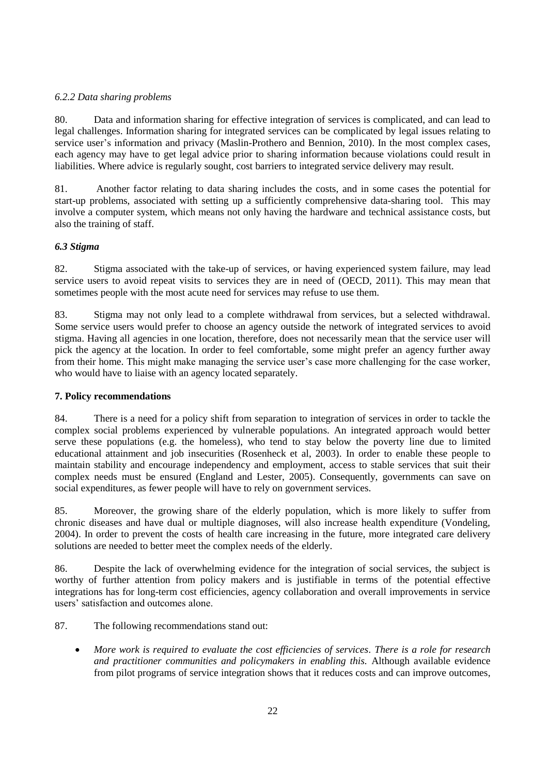# *6.2.2 Data sharing problems*

80. Data and information sharing for effective integration of services is complicated, and can lead to legal challenges. Information sharing for integrated services can be complicated by legal issues relating to service user's information and privacy (Maslin-Prothero and Bennion, 2010). In the most complex cases, each agency may have to get legal advice prior to sharing information because violations could result in liabilities. Where advice is regularly sought, cost barriers to integrated service delivery may result.

81. Another factor relating to data sharing includes the costs, and in some cases the potential for start-up problems, associated with setting up a sufficiently comprehensive data-sharing tool. This may involve a computer system, which means not only having the hardware and technical assistance costs, but also the training of staff.

# <span id="page-21-0"></span>*6.3 Stigma*

82. Stigma associated with the take-up of services, or having experienced system failure, may lead service users to avoid repeat visits to services they are in need of (OECD, 2011). This may mean that sometimes people with the most acute need for services may refuse to use them.

83. Stigma may not only lead to a complete withdrawal from services, but a selected withdrawal. Some service users would prefer to choose an agency outside the network of integrated services to avoid stigma. Having all agencies in one location, therefore, does not necessarily mean that the service user will pick the agency at the location. In order to feel comfortable, some might prefer an agency further away from their home. This might make managing the service user's case more challenging for the case worker, who would have to liaise with an agency located separately.

# <span id="page-21-1"></span>**7. Policy recommendations**

84. There is a need for a policy shift from separation to integration of services in order to tackle the complex social problems experienced by vulnerable populations. An integrated approach would better serve these populations (e.g. the homeless), who tend to stay below the poverty line due to limited educational attainment and job insecurities (Rosenheck et al, 2003). In order to enable these people to maintain stability and encourage independency and employment, access to stable services that suit their complex needs must be ensured (England and Lester, 2005). Consequently, governments can save on social expenditures, as fewer people will have to rely on government services.

85. Moreover, the growing share of the elderly population, which is more likely to suffer from chronic diseases and have dual or multiple diagnoses, will also increase health expenditure (Vondeling, 2004). In order to prevent the costs of health care increasing in the future, more integrated care delivery solutions are needed to better meet the complex needs of the elderly.

86. Despite the lack of overwhelming evidence for the integration of social services, the subject is worthy of further attention from policy makers and is justifiable in terms of the potential effective integrations has for long-term cost efficiencies, agency collaboration and overall improvements in service users" satisfaction and outcomes alone.

- 87. The following recommendations stand out:
	- *More work is required to evaluate the cost efficiencies of services. There is a role for research and practitioner communities and policymakers in enabling this.* Although available evidence from pilot programs of service integration shows that it reduces costs and can improve outcomes,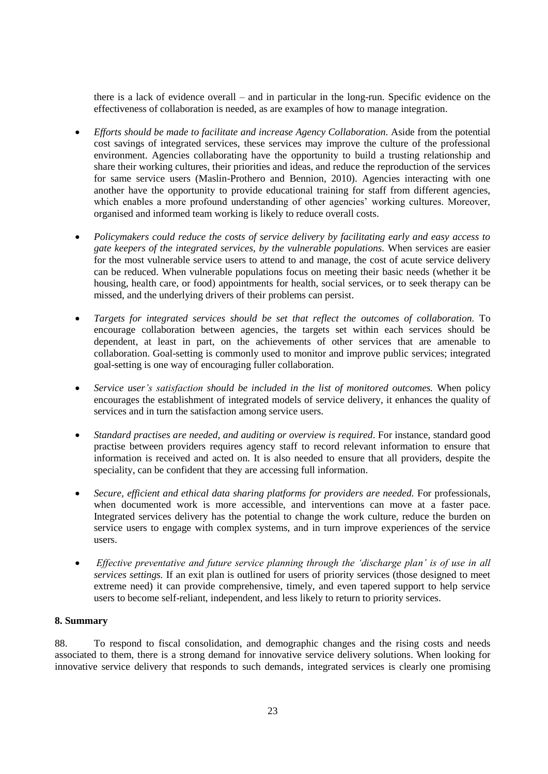there is a lack of evidence overall – and in particular in the long-run. Specific evidence on the effectiveness of collaboration is needed, as are examples of how to manage integration.

- *Efforts should be made to facilitate and increase Agency Collaboration.* Aside from the potential cost savings of integrated services, these services may improve the culture of the professional environment. Agencies collaborating have the opportunity to build a trusting relationship and share their working cultures, their priorities and ideas, and reduce the reproduction of the services for same service users (Maslin-Prothero and Bennion, 2010). Agencies interacting with one another have the opportunity to provide educational training for staff from different agencies, which enables a more profound understanding of other agencies' working cultures. Moreover, organised and informed team working is likely to reduce overall costs.
- *Policymakers could reduce the costs of service delivery by facilitating early and easy access to gate keepers of the integrated services, by the vulnerable populations.* When services are easier for the most vulnerable service users to attend to and manage, the cost of acute service delivery can be reduced. When vulnerable populations focus on meeting their basic needs (whether it be housing, health care, or food) appointments for health, social services, or to seek therapy can be missed, and the underlying drivers of their problems can persist.
- *Targets for integrated services should be set that reflect the outcomes of collaboration.* To encourage collaboration between agencies, the targets set within each services should be dependent, at least in part, on the achievements of other services that are amenable to collaboration. Goal-setting is commonly used to monitor and improve public services; integrated goal-setting is one way of encouraging fuller collaboration.
- *Service user's satisfaction should be included in the list of monitored outcomes.* When policy encourages the establishment of integrated models of service delivery, it enhances the quality of services and in turn the satisfaction among service users.
- *Standard practises are needed, and auditing or overview is required*. For instance, standard good practise between providers requires agency staff to record relevant information to ensure that information is received and acted on. It is also needed to ensure that all providers, despite the speciality, can be confident that they are accessing full information.
- *Secure, efficient and ethical data sharing platforms for providers are needed.* For professionals, when documented work is more accessible, and interventions can move at a faster pace. Integrated services delivery has the potential to change the work culture, reduce the burden on service users to engage with complex systems, and in turn improve experiences of the service users.
- *Effective preventative and future service planning through the 'discharge plan' is of use in all services settings.* If an exit plan is outlined for users of priority services (those designed to meet extreme need) it can provide comprehensive, timely, and even tapered support to help service users to become self-reliant, independent, and less likely to return to priority services.

# <span id="page-22-0"></span>**8. Summary**

88. To respond to fiscal consolidation, and demographic changes and the rising costs and needs associated to them, there is a strong demand for innovative service delivery solutions. When looking for innovative service delivery that responds to such demands, integrated services is clearly one promising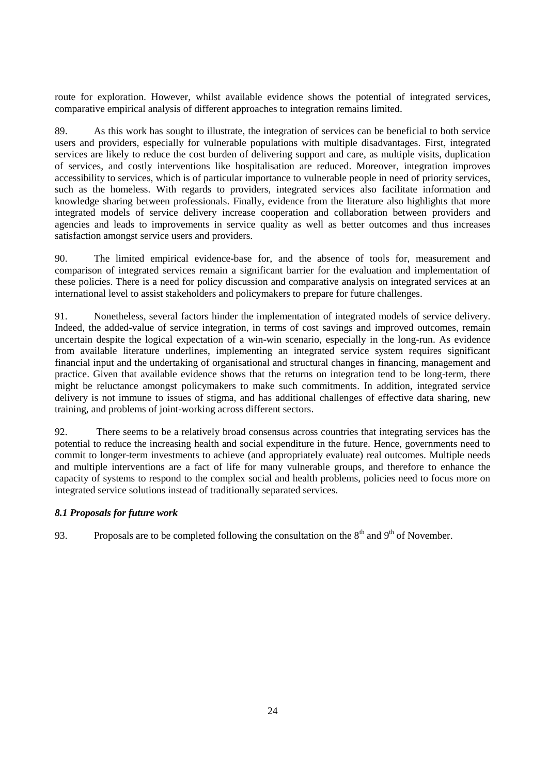route for exploration. However, whilst available evidence shows the potential of integrated services, comparative empirical analysis of different approaches to integration remains limited.

89. As this work has sought to illustrate, the integration of services can be beneficial to both service users and providers, especially for vulnerable populations with multiple disadvantages. First, integrated services are likely to reduce the cost burden of delivering support and care, as multiple visits, duplication of services, and costly interventions like hospitalisation are reduced. Moreover, integration improves accessibility to services, which is of particular importance to vulnerable people in need of priority services, such as the homeless. With regards to providers, integrated services also facilitate information and knowledge sharing between professionals. Finally, evidence from the literature also highlights that more integrated models of service delivery increase cooperation and collaboration between providers and agencies and leads to improvements in service quality as well as better outcomes and thus increases satisfaction amongst service users and providers.

90. The limited empirical evidence-base for, and the absence of tools for, measurement and comparison of integrated services remain a significant barrier for the evaluation and implementation of these policies. There is a need for policy discussion and comparative analysis on integrated services at an international level to assist stakeholders and policymakers to prepare for future challenges.

91. Nonetheless, several factors hinder the implementation of integrated models of service delivery. Indeed, the added-value of service integration, in terms of cost savings and improved outcomes, remain uncertain despite the logical expectation of a win-win scenario, especially in the long-run. As evidence from available literature underlines, implementing an integrated service system requires significant financial input and the undertaking of organisational and structural changes in financing, management and practice. Given that available evidence shows that the returns on integration tend to be long-term, there might be reluctance amongst policymakers to make such commitments. In addition, integrated service delivery is not immune to issues of stigma, and has additional challenges of effective data sharing, new training, and problems of joint-working across different sectors.

92. There seems to be a relatively broad consensus across countries that integrating services has the potential to reduce the increasing health and social expenditure in the future. Hence, governments need to commit to longer-term investments to achieve (and appropriately evaluate) real outcomes. Multiple needs and multiple interventions are a fact of life for many vulnerable groups, and therefore to enhance the capacity of systems to respond to the complex social and health problems, policies need to focus more on integrated service solutions instead of traditionally separated services.

# <span id="page-23-0"></span>*8.1 Proposals for future work*

93. Proposals are to be completed following the consultation on the  $8<sup>th</sup>$  and  $9<sup>th</sup>$  of November.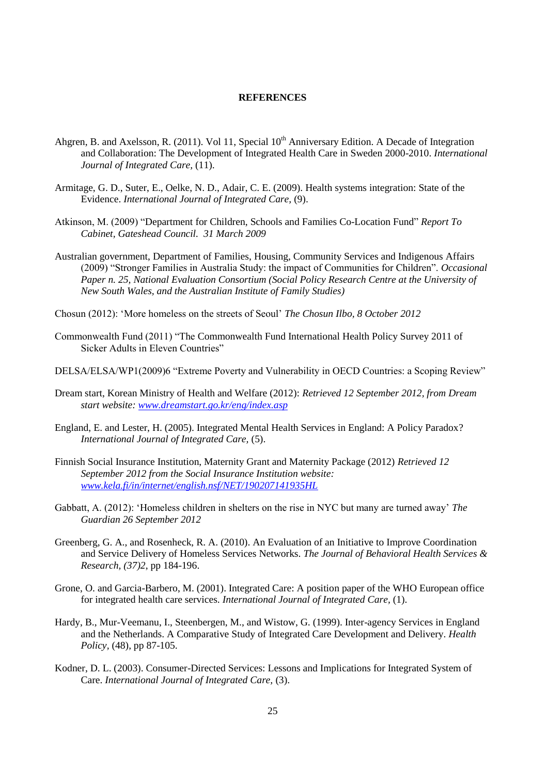### **REFERENCES**

- <span id="page-24-0"></span>Ahgren, B. and Axelsson, R. (2011). Vol 11, Special 10<sup>th</sup> Anniversary Edition. A Decade of Integration and Collaboration: The Development of Integrated Health Care in Sweden 2000-2010. *International Journal of Integrated Care,* (11).
- Armitage, G. D., Suter, E., Oelke, N. D., Adair, C. E. (2009). Health systems integration: State of the Evidence. *International Journal of Integrated Care,* (9).
- Atkinson, M. (2009) "Department for Children, Schools and Families Co-Location Fund" *Report To Cabinet, Gateshead Council. 31 March 2009*
- Australian government, Department of Families, Housing, Community Services and Indigenous Affairs (2009) "Stronger Families in Australia Study: the impact of Communities for Children". *Occasional Paper n. 25, National Evaluation Consortium (Social Policy Research Centre at the University of New South Wales, and the Australian Institute of Family Studies)*
- Chosun (2012): "More homeless on the streets of Seoul" *The Chosun Ilbo, 8 October 2012*
- Commonwealth Fund (2011) "The Commonwealth Fund International Health Policy Survey 2011 of Sicker Adults in Eleven Countries"
- DELSA/ELSA/WP1(2009)6 "Extreme Poverty and Vulnerability in OECD Countries: a Scoping Review"
- Dream start, Korean Ministry of Health and Welfare (2012): *Retrieved 12 September 2012, from Dream start website: [www.dreamstart.go.kr/eng/index.asp](http://www.dreamstart.go.kr/eng/index.asp)*
- England, E. and Lester, H. (2005). Integrated Mental Health Services in England: A Policy Paradox? *International Journal of Integrated Care,* (5).
- Finnish Social Insurance Institution, Maternity Grant and Maternity Package (2012) *Retrieved 12 September 2012 from the Social Insurance Institution website: [www.kela.fi/in/internet/english.nsf/NET/190207141935HL](http://www.kela.fi/in/internet/english.nsf/NET/190207141935HL)*
- Gabbatt, A. (2012): "Homeless children in shelters on the rise in NYC but many are turned away" *The Guardian 26 September 2012*
- Greenberg, G. A., and Rosenheck, R. A. (2010). An Evaluation of an Initiative to Improve Coordination and Service Delivery of Homeless Services Networks. *The Journal of Behavioral Health Services & Research, (37)2*, pp 184-196.
- Grone, O. and Garcia-Barbero, M. (2001). Integrated Care: A position paper of the WHO European office for integrated health care services. *International Journal of Integrated Care,* (1).
- Hardy, B., Mur-Veemanu, I., Steenbergen, M., and Wistow, G. (1999). Inter-agency Services in England and the Netherlands. A Comparative Study of Integrated Care Development and Delivery. *Health Policy,* (48), pp 87-105.
- Kodner, D. L. (2003). Consumer-Directed Services: Lessons and Implications for Integrated System of Care. *International Journal of Integrated Care,* (3).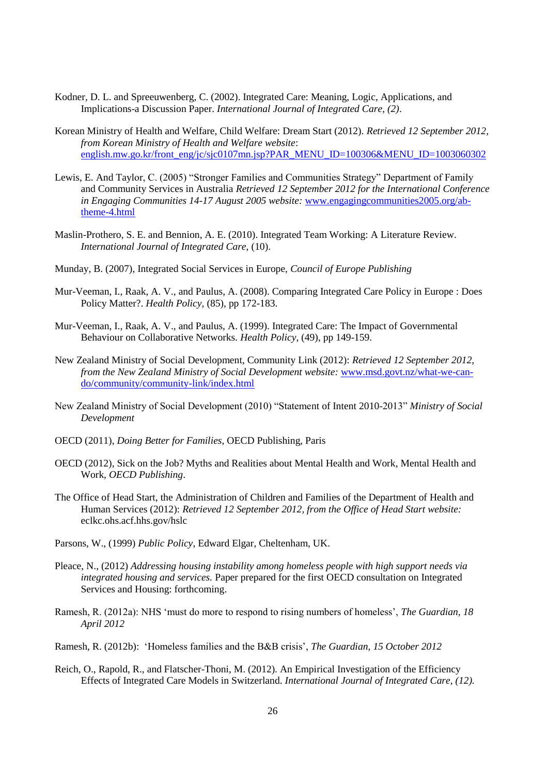- Kodner, D. L. and Spreeuwenberg, C. (2002). Integrated Care: Meaning, Logic, Applications, and Implications-a Discussion Paper. *International Journal of Integrated Care, (2)*.
- Korean Ministry of Health and Welfare, Child Welfare: Dream Start (2012). *Retrieved 12 September 2012, from Korean Ministry of Health and Welfare website*: [english.mw.go.kr/front\\_eng/jc/sjc0107mn.jsp?PAR\\_MENU\\_ID=100306&MENU\\_ID=1003060302](http://english.mw.go.kr/front_eng/jc/sjc0107mn.jsp?PAR_MENU_ID=100306&MENU_ID=1003060302)
- Lewis, E. And Taylor, C. (2005) "Stronger Families and Communities Strategy" Department of Family and Community Services in Australia *Retrieved 12 September 2012 for the International Conference in Engaging Communities 14-17 August 2005 website:* [www.engagingcommunities2005.org/ab](http://www.engagingcommunities2005.org/ab-theme-4.html)[theme-4.html](http://www.engagingcommunities2005.org/ab-theme-4.html)
- Maslin-Prothero, S. E. and Bennion, A. E. (2010). Integrated Team Working: A Literature Review. *International Journal of Integrated Care,* (10).
- Munday, B. (2007), Integrated Social Services in Europe, *Council of Europe Publishing*
- Mur-Veeman, I., Raak, A. V., and Paulus, A. (2008). Comparing Integrated Care Policy in Europe : Does Policy Matter?. *Health Policy,* (85), pp 172-183.
- Mur-Veeman, I., Raak, A. V., and Paulus, A. (1999). Integrated Care: The Impact of Governmental Behaviour on Collaborative Networks. *Health Policy,* (49), pp 149-159.
- New Zealand Ministry of Social Development, Community Link (2012): *Retrieved 12 September 2012, from the New Zealand Ministry of Social Development website:* [www.msd.govt.nz/what-we-can](http://www.msd.govt.nz/what-we-can-do/community/community-link/index.html)[do/community/community-link/index.html](http://www.msd.govt.nz/what-we-can-do/community/community-link/index.html)
- New Zealand Ministry of Social Development (2010) "Statement of Intent 2010-2013" *Ministry of Social Development*
- OECD (2011), *Doing Better for Families*, OECD Publishing, Paris
- OECD (2012), Sick on the Job? Myths and Realities about Mental Health and Work, Mental Health and Work, *OECD Publishing*.
- The Office of Head Start, the Administration of Children and Families of the Department of Health and Human Services (2012): *Retrieved 12 September 2012, from the Office of Head Start website:*  eclkc.ohs.acf.hhs.gov/hslc
- Parsons, W., (1999) *Public Policy*, Edward Elgar, Cheltenham, UK.
- Pleace, N., (2012) *Addressing housing instability among homeless people with high support needs via integrated housing and services.* Paper prepared for the first OECD consultation on Integrated Services and Housing: forthcoming.
- Ramesh, R. (2012a): NHS 'must do more to respond to rising numbers of homeless', *The Guardian*, 18 *April 2012*
- Ramesh, R. (2012b): "Homeless families and the B&B crisis", *The Guardian, 15 October 2012*
- Reich, O., Rapold, R., and Flatscher-Thoni, M. (2012). An Empirical Investigation of the Efficiency Effects of Integrated Care Models in Switzerland. *International Journal of Integrated Care, (12).*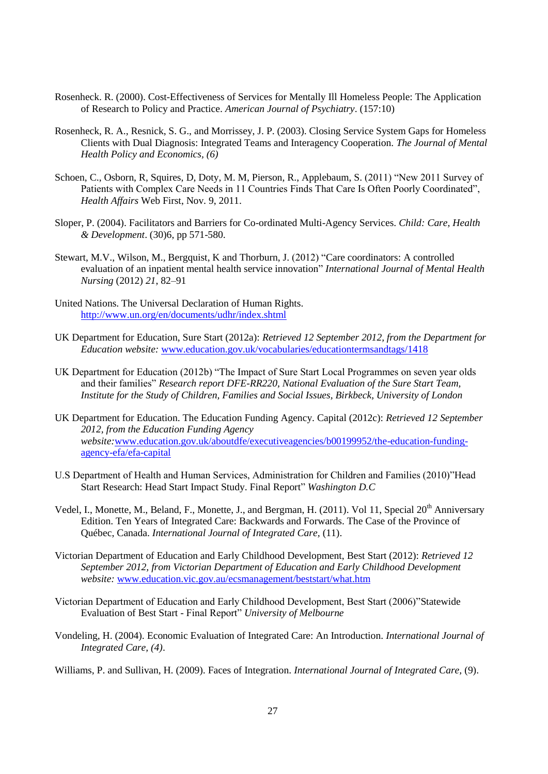- Rosenheck. R. (2000). Cost-Effectiveness of Services for Mentally Ill Homeless People: The Application of Research to Policy and Practice. *American Journal of Psychiatry*. (157:10)
- Rosenheck, R. A., Resnick, S. G., and Morrissey, J. P. (2003). Closing Service System Gaps for Homeless Clients with Dual Diagnosis: Integrated Teams and Interagency Cooperation. *The Journal of Mental Health Policy and Economics, (6)*
- Schoen, C., Osborn, R, Squires, D, Doty, M. M, Pierson, R., Applebaum, S. (2011) "New 2011 Survey of Patients with Complex Care Needs in 11 Countries Finds That Care Is Often Poorly Coordinated", *Health Affairs* Web First, Nov. 9, 2011.
- Sloper, P. (2004). Facilitators and Barriers for Co-ordinated Multi-Agency Services. *Child: Care, Health & Development*. (30)6, pp 571-580.
- Stewart, M.V., Wilson, M., Bergquist, K and Thorburn, J. (2012) "Care coordinators: A controlled evaluation of an inpatient mental health service innovation" *International Journal of Mental Health Nursing* (2012) *21*, 82–91
- United Nations. The Universal Declaration of Human Rights. <http://www.un.org/en/documents/udhr/index.shtml>
- UK Department for Education, Sure Start (2012a): *Retrieved 12 September 2012, from the Department for Education website:* [www.education.gov.uk/vocabularies/educationtermsandtags/1418](http://www.education.gov.uk/vocabularies/educationtermsandtags/1418)
- UK Department for Education (2012b) "The Impact of Sure Start Local Programmes on seven year olds and their families" *Research report DFE-RR220, National Evaluation of the Sure Start Team, Institute for the Study of Children, Families and Social Issues, Birkbeck, University of London*
- UK Department for Education. The Education Funding Agency. Capital (2012c): *Retrieved 12 September 2012, from the Education Funding Agency website:*[www.education.gov.uk/aboutdfe/executiveagencies/b00199952/the-education-funding](http://www.education.gov.uk/aboutdfe/executiveagencies/b00199952/the-education-funding-agency-efa/efa-capital)[agency-efa/efa-capital](http://www.education.gov.uk/aboutdfe/executiveagencies/b00199952/the-education-funding-agency-efa/efa-capital)
- U.S Department of Health and Human Services, Administration for Children and Families (2010)"Head Start Research: Head Start Impact Study. Final Report" *Washington D.C*
- Vedel, I., Monette, M., Beland, F., Monette, J., and Bergman, H. (2011). Vol 11, Special 20<sup>th</sup> Anniversary Edition. Ten Years of Integrated Care: Backwards and Forwards. The Case of the Province of Québec, Canada. *International Journal of Integrated Care,* (11).
- Victorian Department of Education and Early Childhood Development, Best Start (2012): *Retrieved 12 September 2012, from Victorian Department of Education and Early Childhood Development website:* [www.education.vic.gov.au/ecsmanagement/beststart/what.htm](http://www.education.vic.gov.au/ecsmanagement/beststart/what.htm)
- Victorian Department of Education and Early Childhood Development, Best Start (2006)"Statewide Evaluation of Best Start - Final Report" *University of Melbourne*
- Vondeling, H. (2004). Economic Evaluation of Integrated Care: An Introduction. *International Journal of Integrated Care, (4)*.
- Williams, P. and Sullivan, H. (2009). Faces of Integration. *International Journal of Integrated Care,* (9).